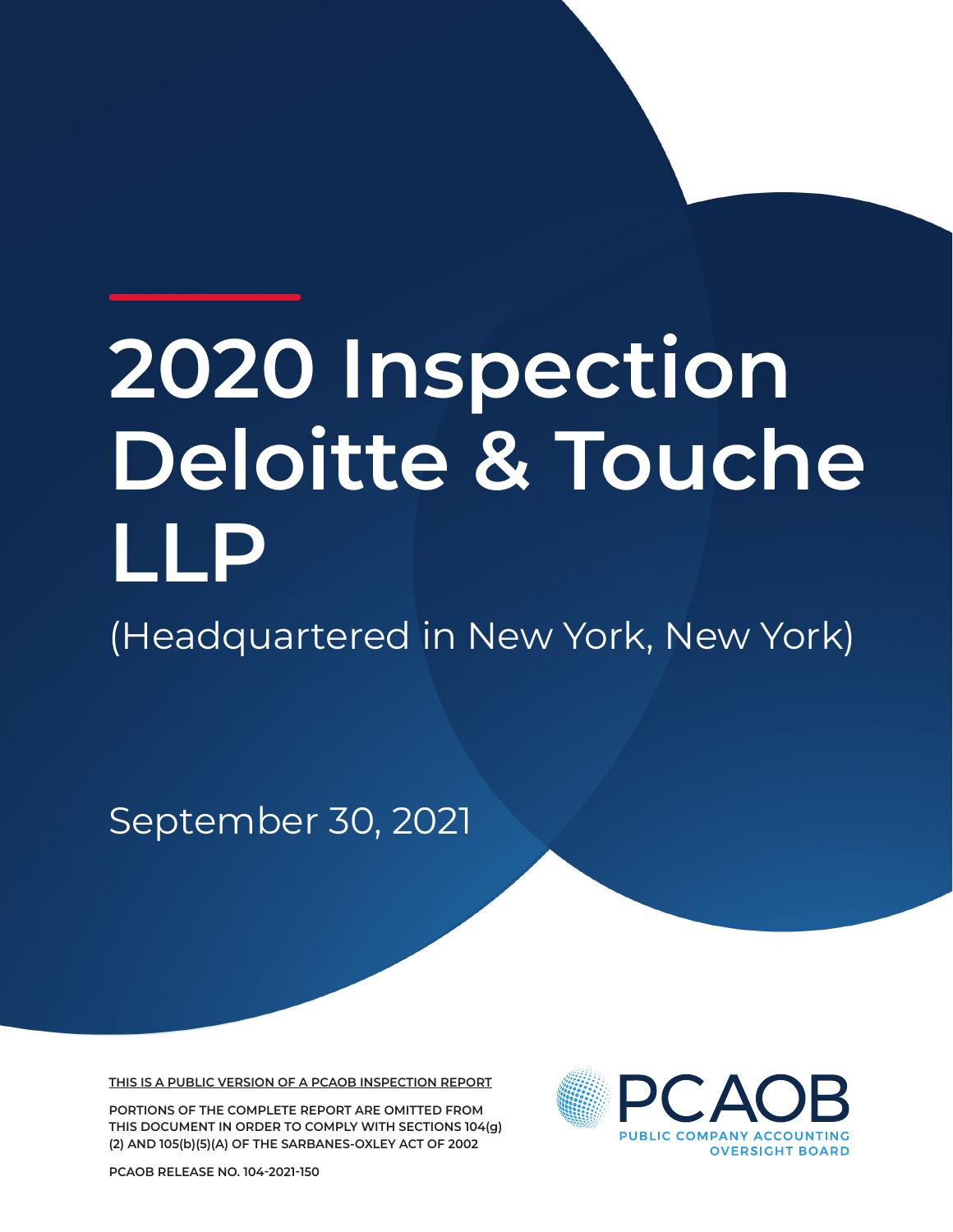# **2020 Inspection Deloitte & Touche LLP**

(Headquartered in New York, New York)

September 30, 2021

**THIS IS A PUBLIC VERSION OF A PCAOB INSPECTION REPORT**

**PORTIONS OF THE COMPLETE REPORT ARE OMITTED FROM THIS DOCUMENT IN ORDER TO COMPLY WITH SECTIONS 104(g) (2) AND 105(b)(5)(A) OF THE SARBANES-OXLEY ACT OF 2002**



**PCAOB RELEASE NO. 104-2021-150**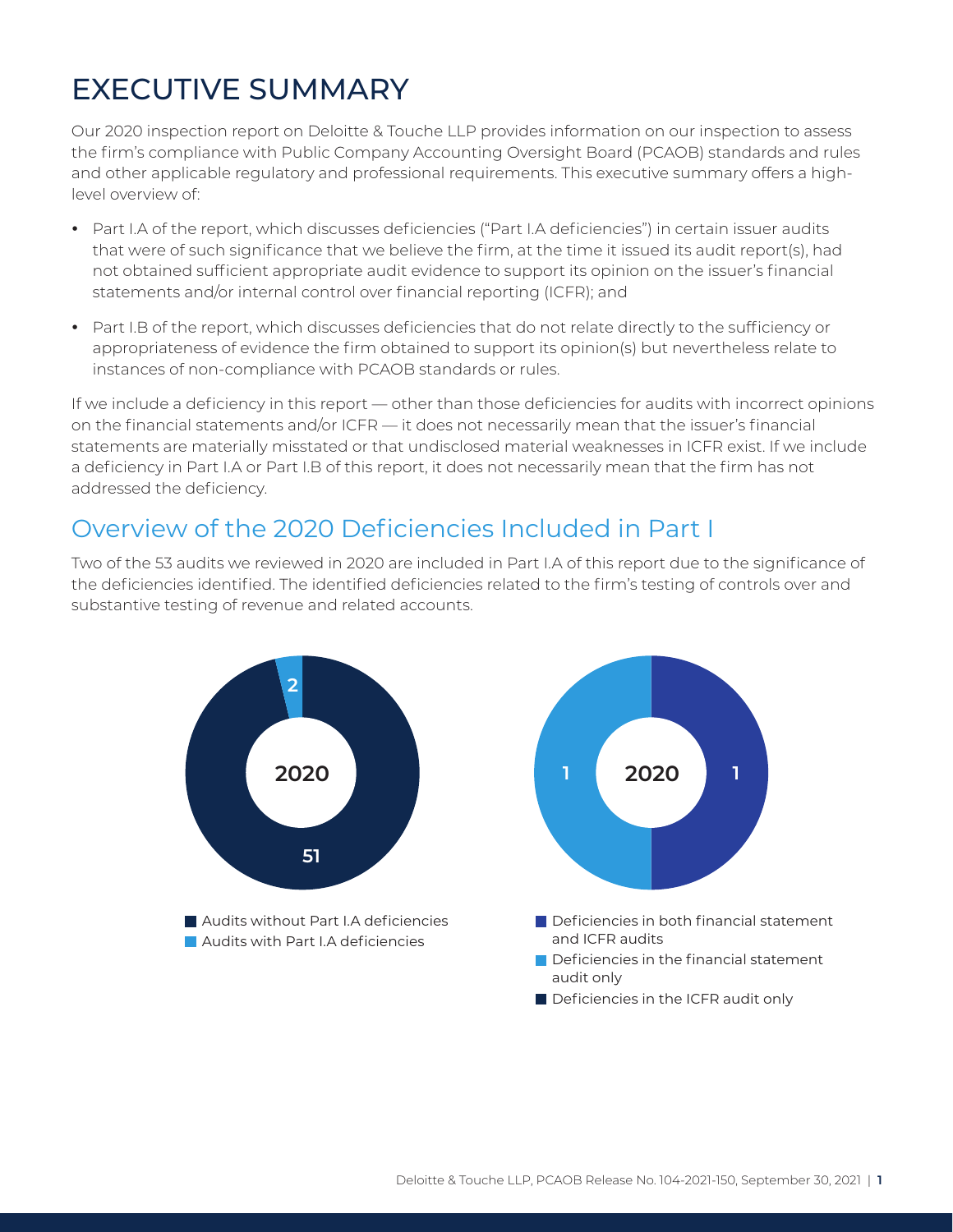## EXECUTIVE SUMMARY

Our 2020 inspection report on Deloitte & Touche LLP provides information on our inspection to assess the firm's compliance with Public Company Accounting Oversight Board (PCAOB) standards and rules and other applicable regulatory and professional requirements. This executive summary offers a highlevel overview of:

- Part I.A of the report, which discusses deficiencies ("Part I.A deficiencies") in certain issuer audits that were of such significance that we believe the firm, at the time it issued its audit report(s), had not obtained sufficient appropriate audit evidence to support its opinion on the issuer's financial statements and/or internal control over financial reporting (ICFR); and
- Part I.B of the report, which discusses deficiencies that do not relate directly to the sufficiency or appropriateness of evidence the firm obtained to support its opinion(s) but nevertheless relate to instances of non-compliance with PCAOB standards or rules.

If we include a deficiency in this report — other than those deficiencies for audits with incorrect opinions on the financial statements and/or ICFR — it does not necessarily mean that the issuer's financial statements are materially misstated or that undisclosed material weaknesses in ICFR exist. If we include a deficiency in Part I.A or Part I.B of this report, it does not necessarily mean that the firm has not addressed the deficiency.

#### Overview of the 2020 Deficiencies Included in Part I

Two of the 53 audits we reviewed in 2020 are included in Part I.A of this report due to the significance of the deficiencies identified. The identified deficiencies related to the firm's testing of controls over and substantive testing of revenue and related accounts.

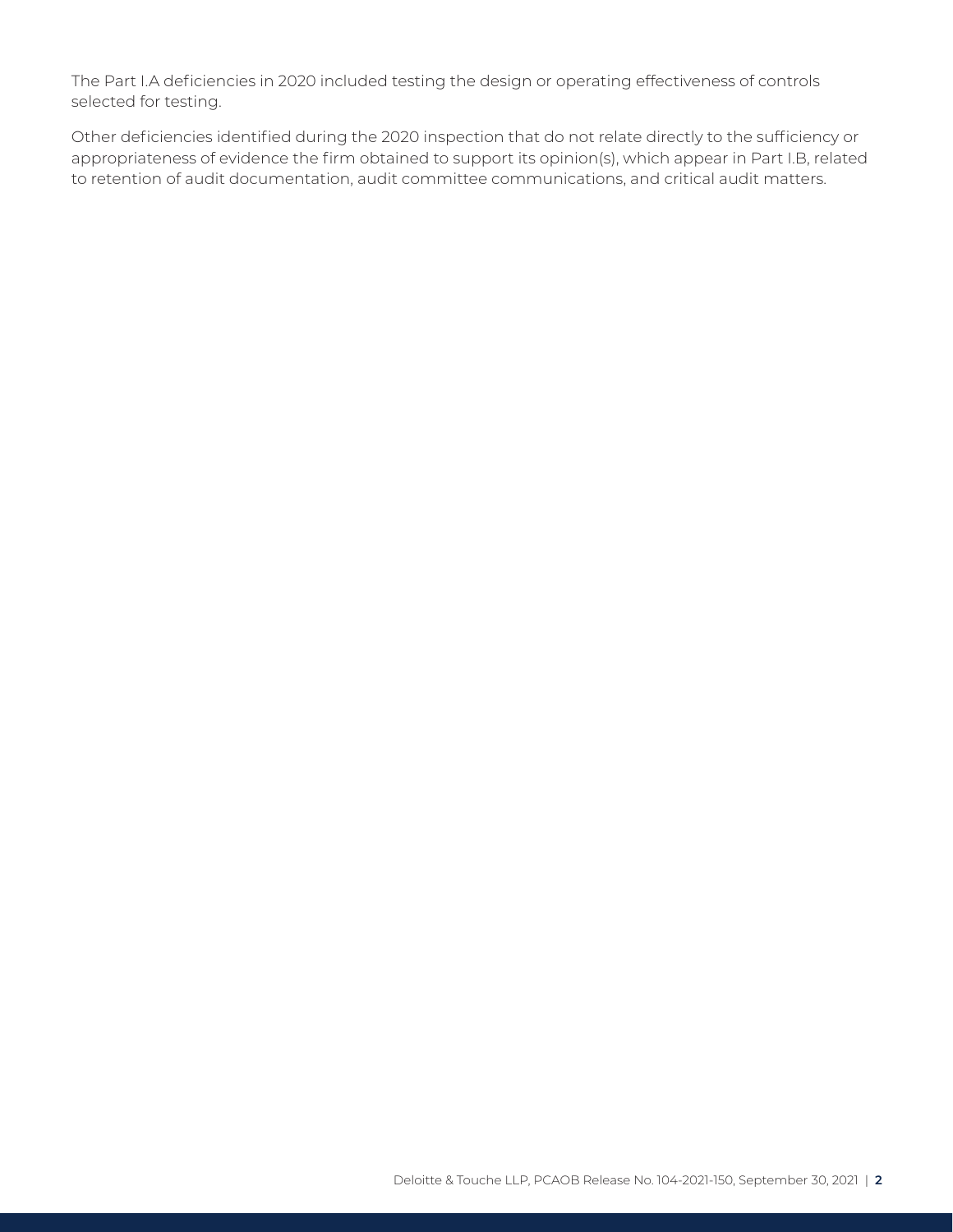The Part I.A deficiencies in 2020 included testing the design or operating effectiveness of controls selected for testing.

Other deficiencies identified during the 2020 inspection that do not relate directly to the sufficiency or appropriateness of evidence the firm obtained to support its opinion(s), which appear in Part I.B, related to retention of audit documentation, audit committee communications, and critical audit matters.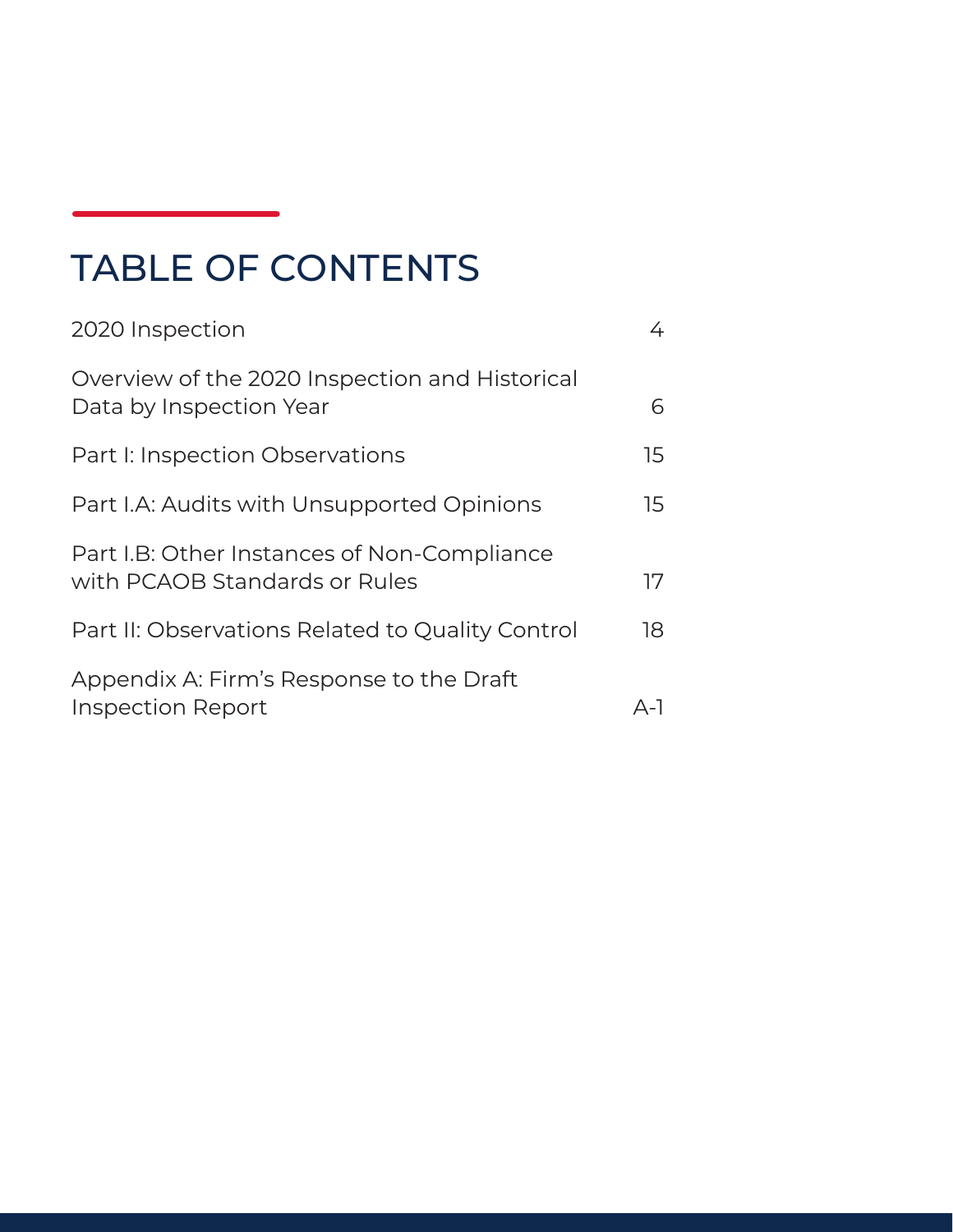## TABLE OF CONTENTS

| 2020 Inspection                                                              | 4   |
|------------------------------------------------------------------------------|-----|
| Overview of the 2020 Inspection and Historical<br>Data by Inspection Year    | 6   |
| Part I: Inspection Observations                                              | 15  |
| Part I.A: Audits with Unsupported Opinions                                   | 15  |
| Part I.B: Other Instances of Non-Compliance<br>with PCAOB Standards or Rules | 17  |
| Part II: Observations Related to Quality Control                             | 18  |
| Appendix A: Firm's Response to the Draft<br><b>Inspection Report</b>         | A-1 |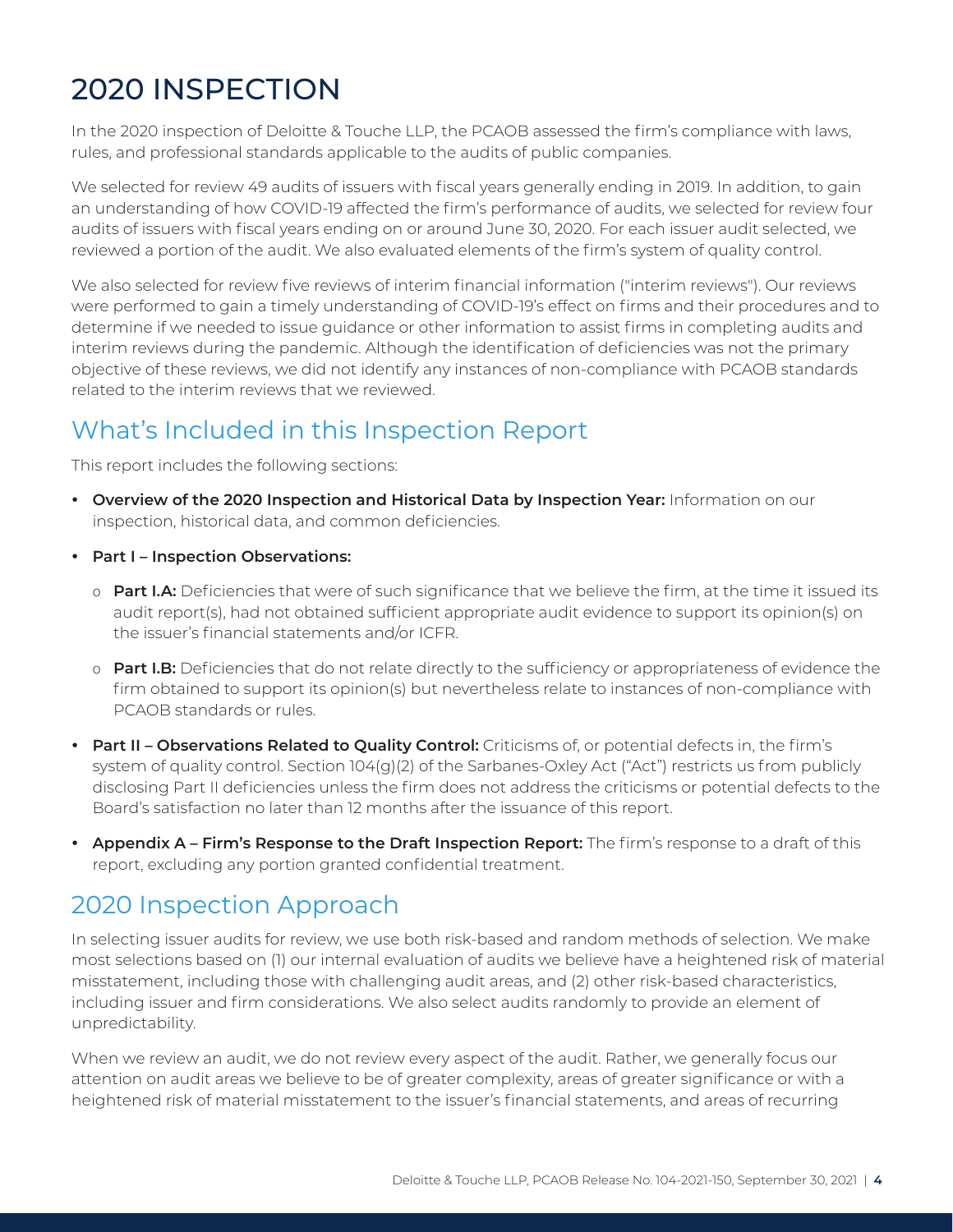## <span id="page-4-0"></span>2020 INSPECTION

In the 2020 inspection of Deloitte & Touche LLP, the PCAOB assessed the firm's compliance with laws, rules, and professional standards applicable to the audits of public companies.

We selected for review 49 audits of issuers with fiscal years generally ending in 2019. In addition, to gain an understanding of how COVID-19 affected the firm's performance of audits, we selected for review four audits of issuers with fiscal years ending on or around June 30, 2020. For each issuer audit selected, we reviewed a portion of the audit. We also evaluated elements of the firm's system of quality control.

We also selected for review five reviews of interim financial information ("interim reviews"). Our reviews were performed to gain a timely understanding of COVID-19's effect on firms and their procedures and to determine if we needed to issue guidance or other information to assist firms in completing audits and interim reviews during the pandemic. Although the identification of deficiencies was not the primary objective of these reviews, we did not identify any instances of non-compliance with PCAOB standards related to the interim reviews that we reviewed.

## What's Included in this Inspection Report

This report includes the following sections:

- **Overview of the 2020 Inspection and Historical Data by Inspection Year:** Information on our inspection, historical data, and common deficiencies.
- y **Part I Inspection Observations:**
	- o **Part I.A:** Deficiencies that were of such significance that we believe the firm, at the time it issued its audit report(s), had not obtained sufficient appropriate audit evidence to support its opinion(s) on the issuer's financial statements and/or ICFR.
	- o **Part I.B:** Deficiencies that do not relate directly to the sufficiency or appropriateness of evidence the firm obtained to support its opinion(s) but nevertheless relate to instances of non-compliance with PCAOB standards or rules.
- **Part II Observations Related to Quality Control:** Criticisms of, or potential defects in, the firm's system of quality control. Section 104(g)(2) of the Sarbanes-Oxley Act ("Act") restricts us from publicly disclosing Part II deficiencies unless the firm does not address the criticisms or potential defects to the Board's satisfaction no later than 12 months after the issuance of this report.
- **Appendix A Firm's Response to the Draft Inspection Report:** The firm's response to a draft of this report, excluding any portion granted confidential treatment.

## 2020 Inspection Approach

In selecting issuer audits for review, we use both risk-based and random methods of selection. We make most selections based on (1) our internal evaluation of audits we believe have a heightened risk of material misstatement, including those with challenging audit areas, and (2) other risk-based characteristics, including issuer and firm considerations. We also select audits randomly to provide an element of unpredictability.

When we review an audit, we do not review every aspect of the audit. Rather, we generally focus our attention on audit areas we believe to be of greater complexity, areas of greater significance or with a heightened risk of material misstatement to the issuer's financial statements, and areas of recurring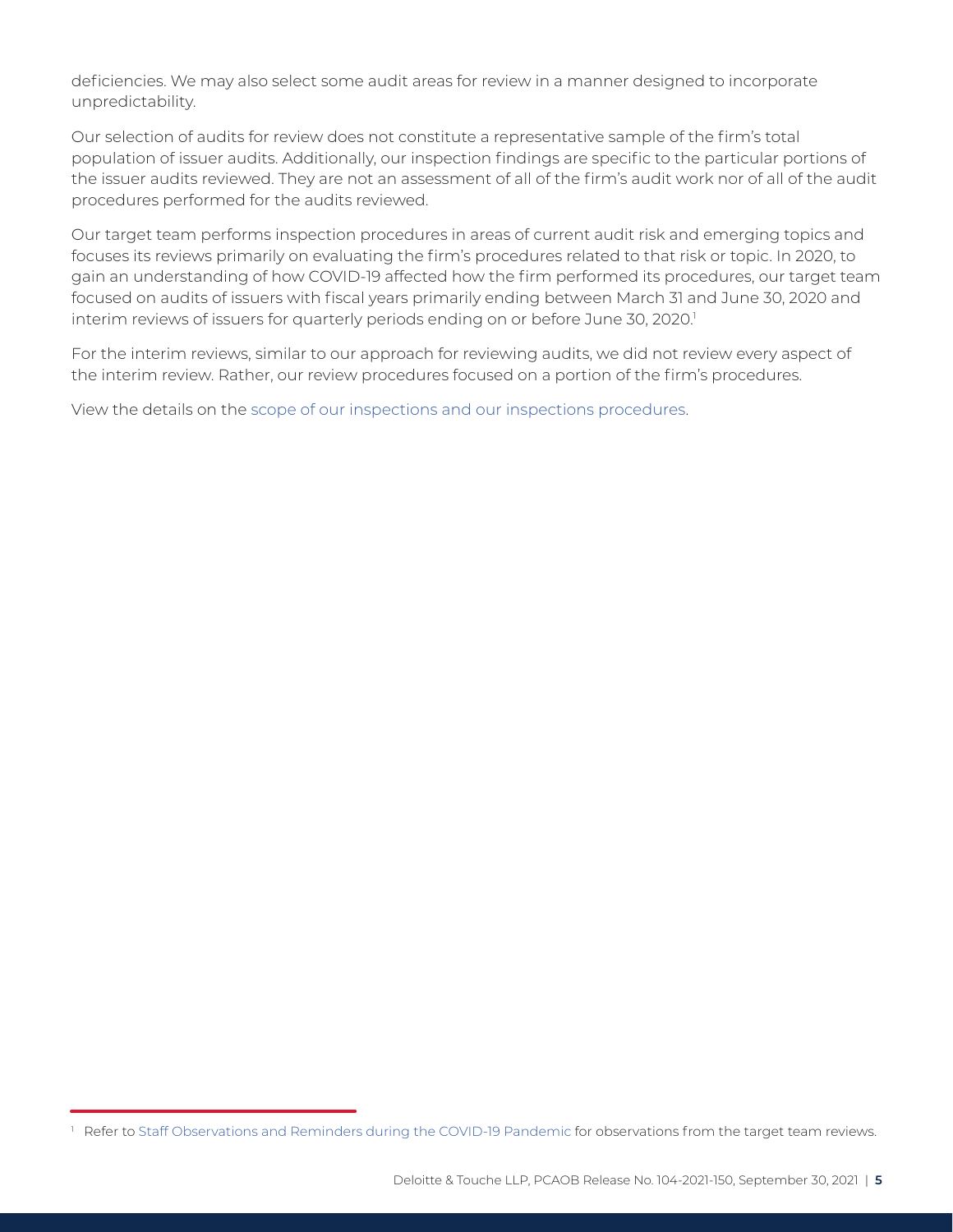deficiencies. We may also select some audit areas for review in a manner designed to incorporate unpredictability.

Our selection of audits for review does not constitute a representative sample of the firm's total population of issuer audits. Additionally, our inspection findings are specific to the particular portions of the issuer audits reviewed. They are not an assessment of all of the firm's audit work nor of all of the audit procedures performed for the audits reviewed.

Our target team performs inspection procedures in areas of current audit risk and emerging topics and focuses its reviews primarily on evaluating the firm's procedures related to that risk or topic. In 2020, to gain an understanding of how COVID-19 affected how the firm performed its procedures, our target team focused on audits of issuers with fiscal years primarily ending between March 31 and June 30, 2020 and interim reviews of issuers for quarterly periods ending on or before June 30, 2020.<sup>1</sup>

For the interim reviews, similar to our approach for reviewing audits, we did not review every aspect of the interim review. Rather, our review procedures focused on a portion of the firm's procedures.

View the details on the [scope of our inspections and our inspections procedures.](https://pcaobus.org/inspections/documents/2020-inspections-procedures.pdf)

<sup>&</sup>lt;sup>1</sup> Refer to [Staff Observations and Reminders during the COVID-19 Pandemic](https://pcaob-assets.azureedge.net/pcaob-dev/docs/default-source/documents/staff-observations-reminders-covid-19-spotlight.pdf?sfvrsn=b14c0d8_6) for observations from the target team reviews.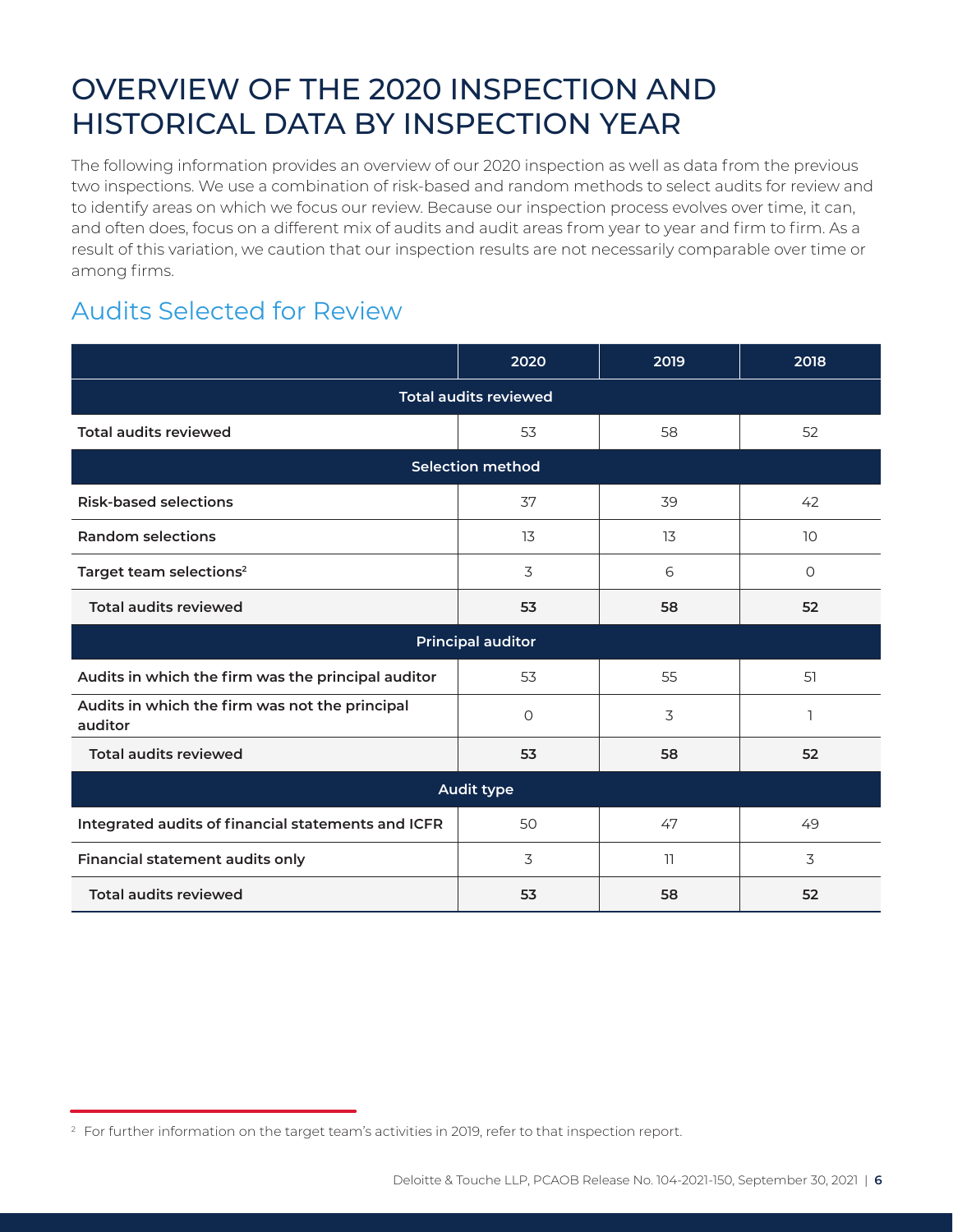## <span id="page-6-0"></span>OVERVIEW OF THE 2020 INSPECTION AND HISTORICAL DATA BY INSPECTION YEAR

The following information provides an overview of our 2020 inspection as well as data from the previous two inspections. We use a combination of risk-based and random methods to select audits for review and to identify areas on which we focus our review. Because our inspection process evolves over time, it can, and often does, focus on a different mix of audits and audit areas from year to year and firm to firm. As a result of this variation, we caution that our inspection results are not necessarily comparable over time or among firms.

#### Audits Selected for Review

|                                                           | 2020                     | 2019 | 2018            |  |  |  |
|-----------------------------------------------------------|--------------------------|------|-----------------|--|--|--|
| <b>Total audits reviewed</b>                              |                          |      |                 |  |  |  |
| <b>Total audits reviewed</b>                              | 53                       | 58   | 52              |  |  |  |
|                                                           | <b>Selection method</b>  |      |                 |  |  |  |
| <b>Risk-based selections</b>                              | 37                       | 39   | 42              |  |  |  |
| <b>Random selections</b>                                  | 13                       | 13   | 10 <sup>°</sup> |  |  |  |
| Target team selections <sup>2</sup>                       | 3                        | 6    | $\circ$         |  |  |  |
| <b>Total audits reviewed</b>                              | 53                       | 58   | 52              |  |  |  |
|                                                           | <b>Principal auditor</b> |      |                 |  |  |  |
| Audits in which the firm was the principal auditor        | 53                       | 55   | 51              |  |  |  |
| Audits in which the firm was not the principal<br>auditor | $\circ$                  | 3    |                 |  |  |  |
| <b>Total audits reviewed</b>                              | 53                       | 58   | 52              |  |  |  |
| <b>Audit type</b>                                         |                          |      |                 |  |  |  |
| Integrated audits of financial statements and ICFR        | 50                       | 47   | 49              |  |  |  |
| Financial statement audits only                           | 3                        | 11   | 3               |  |  |  |
| <b>Total audits reviewed</b>                              | 53                       | 58   | 52              |  |  |  |

<sup>&</sup>lt;sup>2</sup> For further information on the target team's activities in 2019, refer to that inspection report.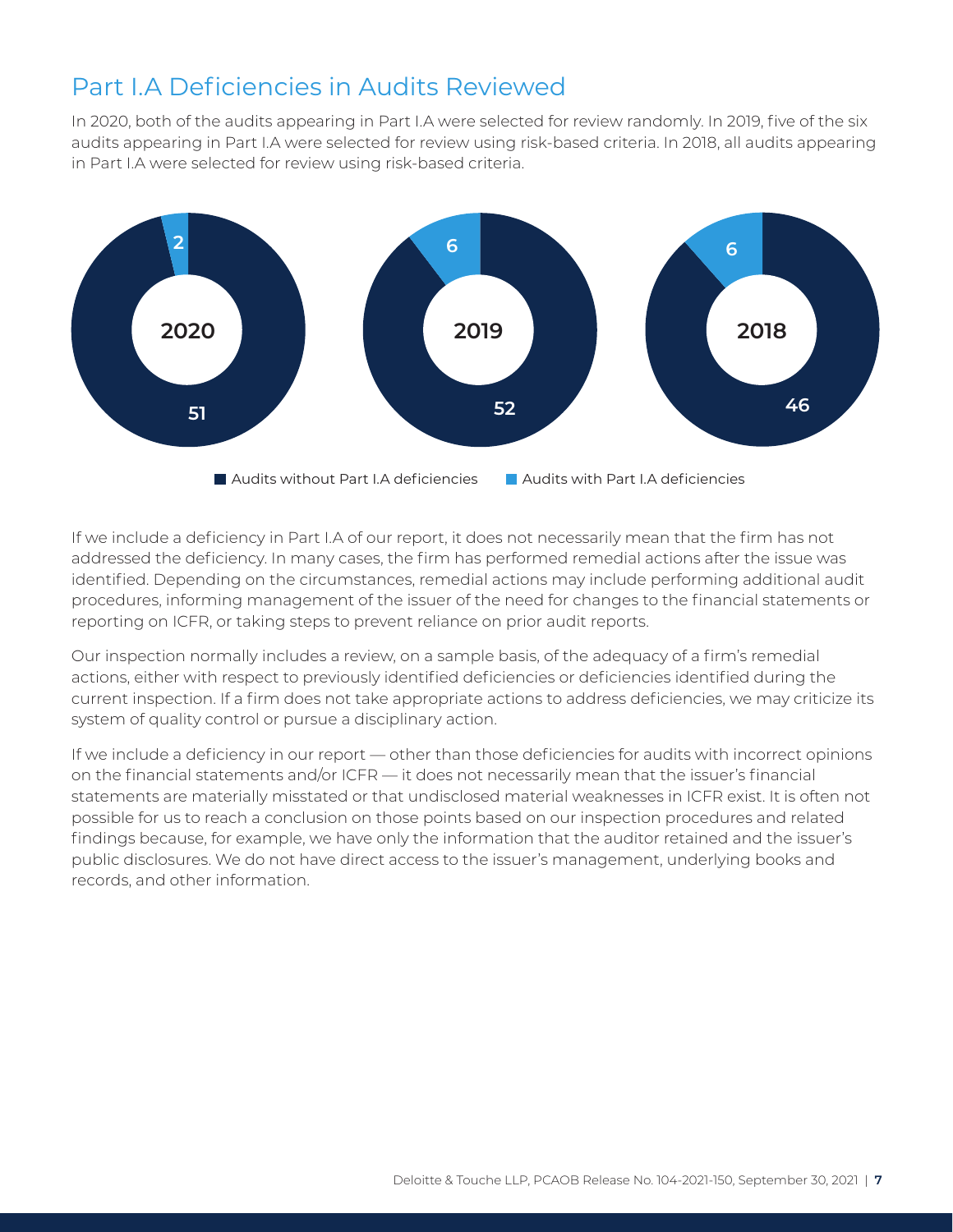#### Audits without Part I.A deficiencies Part I.A Deficiencies in Audits Reviewed Deficiencies in both financial statement

Deficiencies in the financial statement In 2020, both of the audits appearing in Part I.A were selected for review randomly. In 2019, five of the six audits appearing in Part I.A were selected for review using risk-based criteria. In 2018, all audits appearing in Part I.A were selected for review using risk-based criteria.



If we include a deficiency in Part I.A of our report, it does not necessarily mean that the firm has not addressed the deficiency. In many cases, the firm has performed remedial actions after the issue was identified. Depending on the circumstances, remedial actions may include performing additional audit procedures, informing management of the issuer of the need for changes to the financial statements or reporting on ICFR, or taking steps to prevent reliance on prior audit reports.

**3 1 2020 1 2019 2018** current inspection. If a firm does not take appropriate actions to address deficiencies, we may criticize its **2** Our inspection normally includes a review, on a sample basis, of the adequacy of a firm's remedial actions, either with respect to previously identified deficiencies or deficiencies identified during the system of quality control or pursue a disciplinary action.

on the financial statements and/or ICFR — it does not necessarily mean that the issuer's financial findings because, for example, we have only the information that the auditor retained and the issuer's public disclosures. We do not have direct access to the issuer's management, underlying books and If we include a deficiency in our report — other than those deficiencies for audits with incorrect opinions statements are materially misstated or that undisclosed material weaknesses in ICFR exist. It is often not possible for us to reach a conclusion on those points based on our inspection procedures and related records, and other information.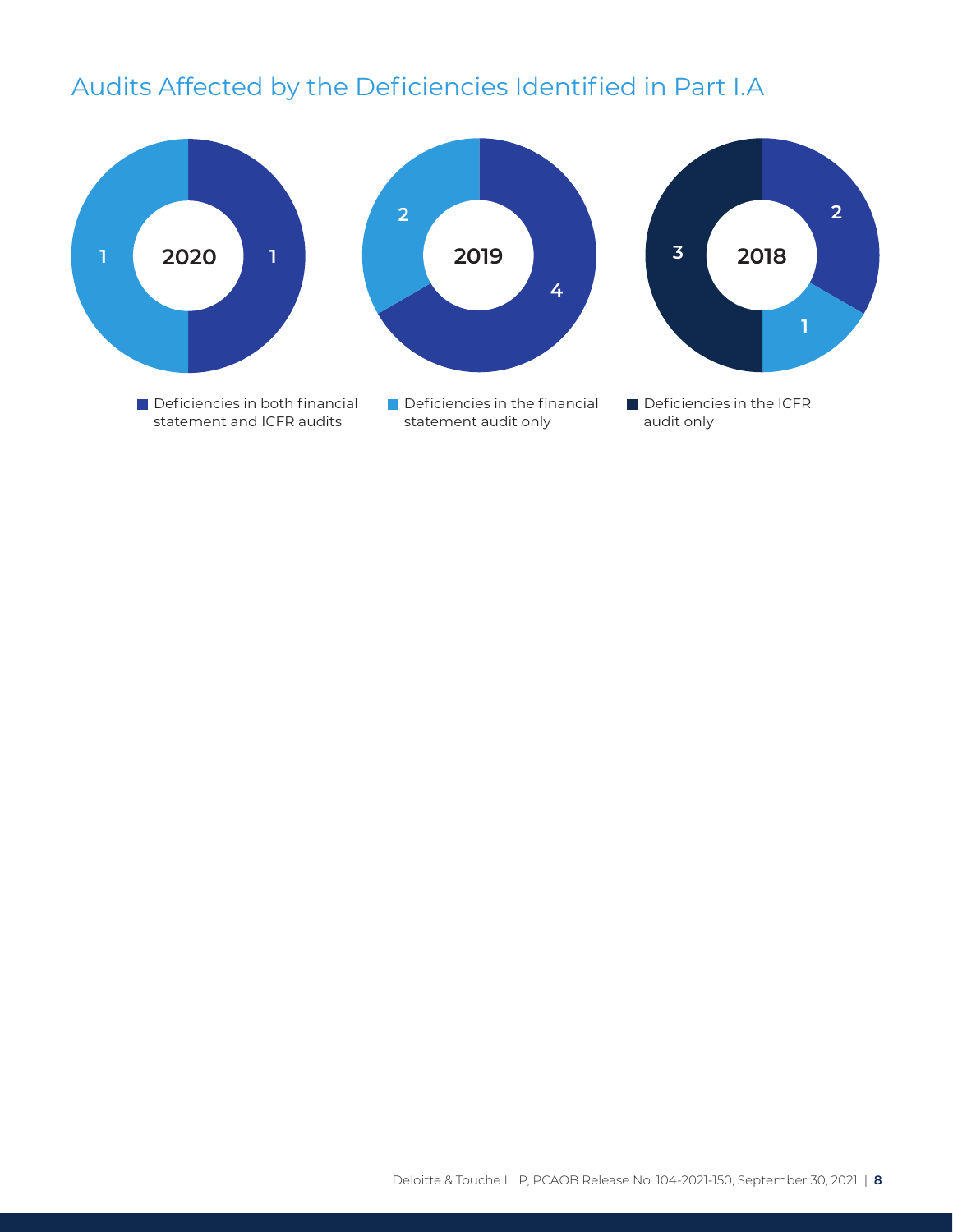### Audits Affected by the Deficiencies Identified in Part I.A

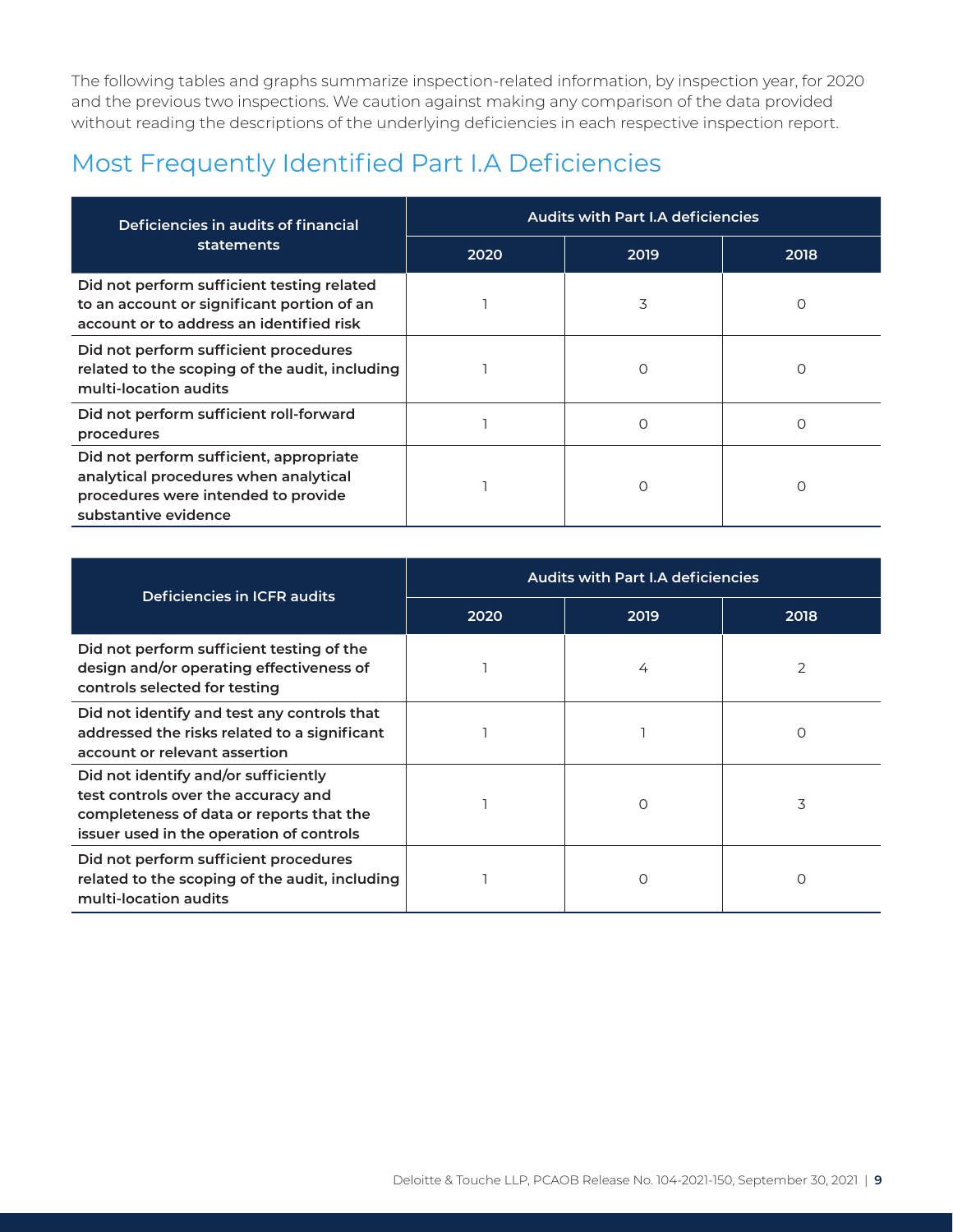The following tables and graphs summarize inspection-related information, by inspection year, for 2020 and the previous two inspections. We caution against making any comparison of the data provided without reading the descriptions of the underlying deficiencies in each respective inspection report.

### Most Frequently Identified Part I.A Deficiencies

| Deficiencies in audits of financial                                                                                                             | <b>Audits with Part I.A deficiencies</b> |          |      |  |  |
|-------------------------------------------------------------------------------------------------------------------------------------------------|------------------------------------------|----------|------|--|--|
| statements                                                                                                                                      | 2020                                     | 2019     | 2018 |  |  |
| Did not perform sufficient testing related<br>to an account or significant portion of an<br>account or to address an identified risk            |                                          | 3        | O    |  |  |
| Did not perform sufficient procedures<br>related to the scoping of the audit, including<br>multi-location audits                                |                                          | ∩        | ∩    |  |  |
| Did not perform sufficient roll-forward<br>procedures                                                                                           |                                          | $\Omega$ | Ω    |  |  |
| Did not perform sufficient, appropriate<br>analytical procedures when analytical<br>procedures were intended to provide<br>substantive evidence |                                          |          |      |  |  |

| Deficiencies in ICFR audits                                                                                                                                         | <b>Audits with Part I.A deficiencies</b> |      |                |  |
|---------------------------------------------------------------------------------------------------------------------------------------------------------------------|------------------------------------------|------|----------------|--|
|                                                                                                                                                                     | 2020                                     | 2019 | 2018           |  |
| Did not perform sufficient testing of the<br>design and/or operating effectiveness of<br>controls selected for testing                                              |                                          | 4    | $\overline{2}$ |  |
| Did not identify and test any controls that<br>addressed the risks related to a significant<br>account or relevant assertion                                        |                                          |      | Ω              |  |
| Did not identify and/or sufficiently<br>test controls over the accuracy and<br>completeness of data or reports that the<br>issuer used in the operation of controls |                                          | O    | 3              |  |
| Did not perform sufficient procedures<br>related to the scoping of the audit, including<br>multi-location audits                                                    |                                          | Ο    | Ο              |  |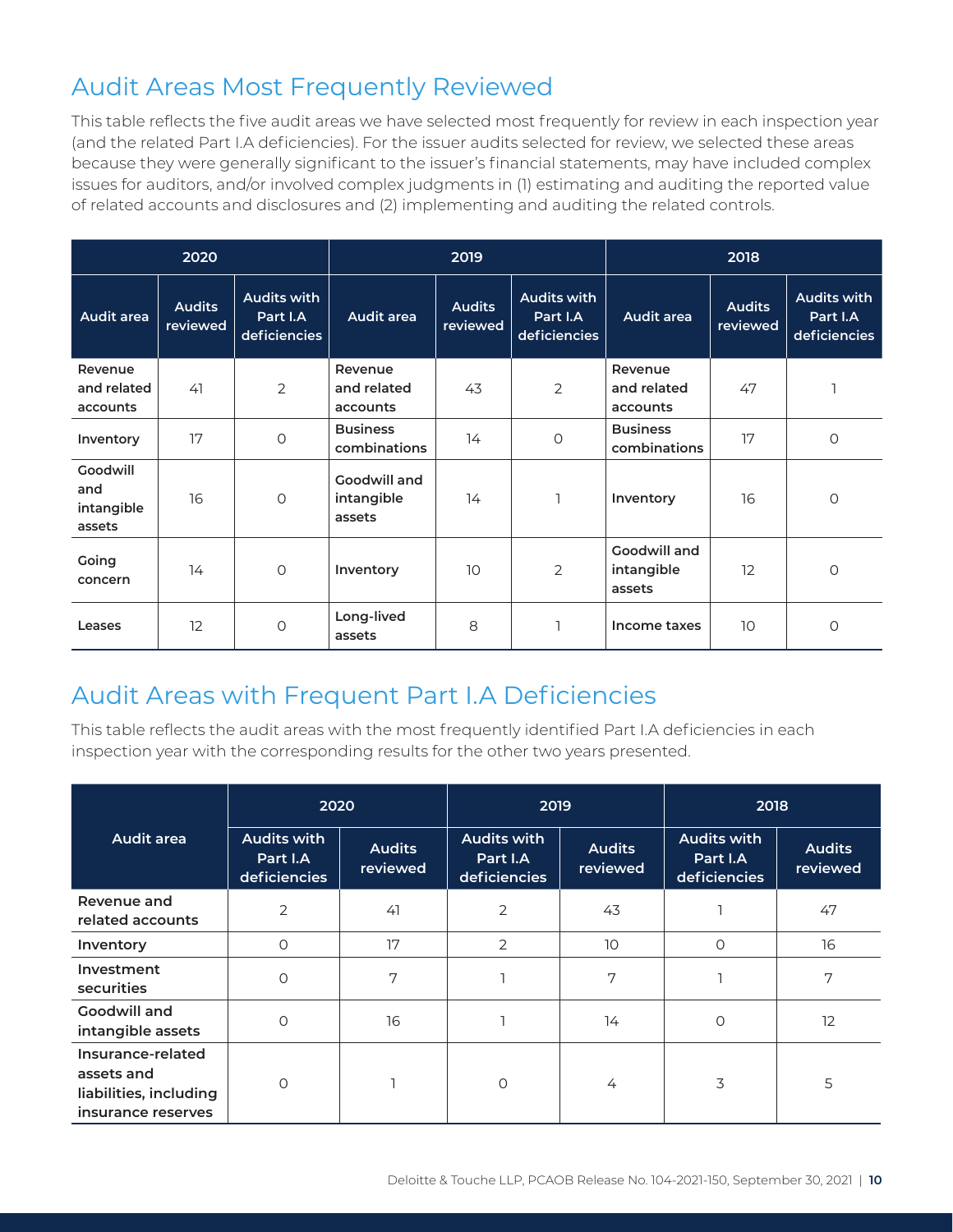#### Audit Areas Most Frequently Reviewed

This table reflects the five audit areas we have selected most frequently for review in each inspection year (and the related Part I.A deficiencies). For the issuer audits selected for review, we selected these areas because they were generally significant to the issuer's financial statements, may have included complex issues for auditors, and/or involved complex judgments in (1) estimating and auditing the reported value of related accounts and disclosures and (2) implementing and auditing the related controls.

| 2020                                    |                           |                                                |                                      | 2019                      |                                                |                                      | 2018                      |                                                |
|-----------------------------------------|---------------------------|------------------------------------------------|--------------------------------------|---------------------------|------------------------------------------------|--------------------------------------|---------------------------|------------------------------------------------|
| Audit area                              | <b>Audits</b><br>reviewed | <b>Audits with</b><br>Part I.A<br>deficiencies | <b>Audit area</b>                    | <b>Audits</b><br>reviewed | <b>Audits with</b><br>Part I.A<br>deficiencies | Audit area                           | <b>Audits</b><br>reviewed | <b>Audits with</b><br>Part I.A<br>deficiencies |
| Revenue<br>and related<br>accounts      | 41                        | 2                                              | Revenue<br>and related<br>accounts   | 43                        | $\overline{2}$                                 | Revenue<br>and related<br>accounts   | 47                        |                                                |
| Inventory                               | 17                        | 0                                              | <b>Business</b><br>combinations      | 14                        | $\circ$                                        | <b>Business</b><br>combinations      | 17                        | $\circ$                                        |
| Goodwill<br>and<br>intangible<br>assets | 16                        | $\circ$                                        | Goodwill and<br>intangible<br>assets | 14                        |                                                | Inventory                            | 16                        | $\circ$                                        |
| Going<br>concern                        | 14                        | $\circ$                                        | Inventory                            | 10                        | 2                                              | Goodwill and<br>intangible<br>assets | 12                        | 0                                              |
| Leases                                  | 12                        | $\circ$                                        | Long-lived<br>assets                 | 8                         |                                                | Income taxes                         | 10                        | O                                              |

## Audit Areas with Frequent Part I.A Deficiencies

This table reflects the audit areas with the most frequently identified Part I.A deficiencies in each inspection year with the corresponding results for the other two years presented.

|                                                                                 | 2020                                           |                           | 2019                                           |                           | 2018                                           |                           |
|---------------------------------------------------------------------------------|------------------------------------------------|---------------------------|------------------------------------------------|---------------------------|------------------------------------------------|---------------------------|
| <b>Audit area</b>                                                               | <b>Audits with</b><br>Part I.A<br>deficiencies | <b>Audits</b><br>reviewed | <b>Audits with</b><br>Part I.A<br>deficiencies | <b>Audits</b><br>reviewed | <b>Audits with</b><br>Part I.A<br>deficiencies | <b>Audits</b><br>reviewed |
| Revenue and<br>related accounts                                                 | $\overline{2}$                                 | 41                        | $\overline{2}$                                 | 43                        |                                                | 47                        |
| Inventory                                                                       | O                                              | 17                        | $\overline{2}$                                 | 10                        | $\circ$                                        | 16                        |
| Investment<br>securities                                                        | $\Omega$                                       | 7                         |                                                | 7                         |                                                | 7                         |
| Goodwill and<br>intangible assets                                               | $\circ$                                        | 16                        |                                                | 14                        | $\circ$                                        | 12                        |
| Insurance-related<br>assets and<br>liabilities, including<br>insurance reserves | $\circ$                                        |                           | $\circ$                                        | 4                         | 3                                              | 5                         |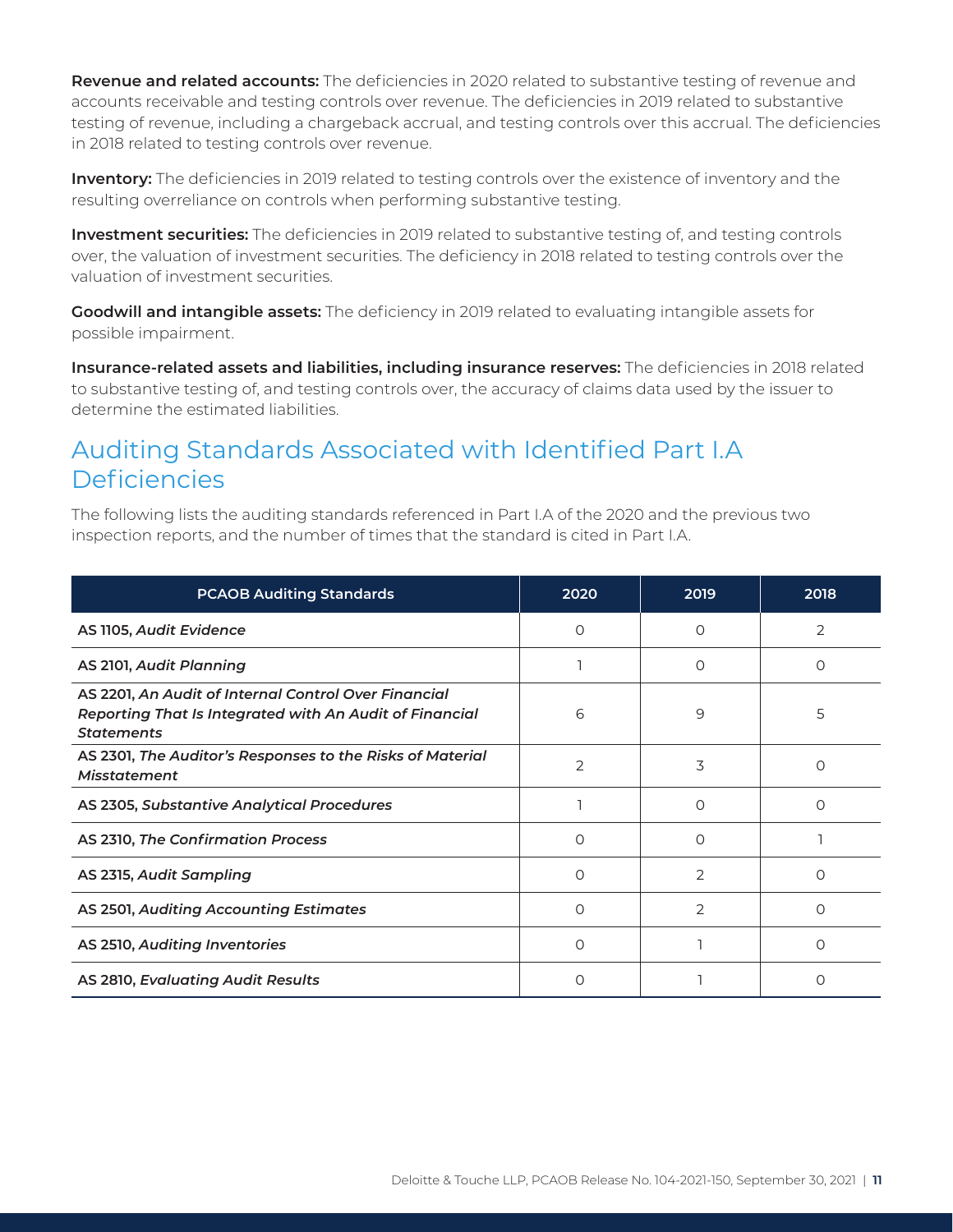**Revenue and related accounts:** The deficiencies in 2020 related to substantive testing of revenue and accounts receivable and testing controls over revenue. The deficiencies in 2019 related to substantive testing of revenue, including a chargeback accrual, and testing controls over this accrual. The deficiencies in 2018 related to testing controls over revenue.

**Inventory:** The deficiencies in 2019 related to testing controls over the existence of inventory and the resulting overreliance on controls when performing substantive testing.

**Investment securities:** The deficiencies in 2019 related to substantive testing of, and testing controls over, the valuation of investment securities. The deficiency in 2018 related to testing controls over the valuation of investment securities.

**Goodwill and intangible assets:** The deficiency in 2019 related to evaluating intangible assets for possible impairment.

**Insurance-related assets and liabilities, including insurance reserves:** The deficiencies in 2018 related to substantive testing of, and testing controls over, the accuracy of claims data used by the issuer to determine the estimated liabilities.

#### Auditing Standards Associated with Identified Part I.A **Deficiencies**

The following lists the auditing standards referenced in Part I.A of the 2020 and the previous two inspection reports, and the number of times that the standard is cited in Part I.A.

| <b>PCAOB Auditing Standards</b>                                                                                                      | 2020     | 2019     | 2018             |
|--------------------------------------------------------------------------------------------------------------------------------------|----------|----------|------------------|
| AS 1105, Audit Evidence                                                                                                              | $\Omega$ | $\Omega$ | 2                |
| AS 2101, Audit Planning                                                                                                              |          | $\Omega$ | Ω                |
| AS 2201, An Audit of Internal Control Over Financial<br>Reporting That Is Integrated with An Audit of Financial<br><b>Statements</b> | 6        | 9        | 5                |
| AS 2301, The Auditor's Responses to the Risks of Material<br><b>Misstatement</b>                                                     | 2        | 3        | Ω                |
| AS 2305, Substantive Analytical Procedures                                                                                           |          | ∩        | Ω                |
| AS 2310, The Confirmation Process                                                                                                    | $\Omega$ | $\left($ |                  |
| AS 2315, Audit Sampling                                                                                                              | ∩        | 2        |                  |
| AS 2501, Auditing Accounting Estimates                                                                                               | $\Omega$ | 2        | $\left( \right)$ |
| AS 2510, Auditing Inventories                                                                                                        | $\Omega$ |          | $\Omega$         |
| AS 2810, Evaluating Audit Results                                                                                                    | $\Omega$ |          | $\left( \right)$ |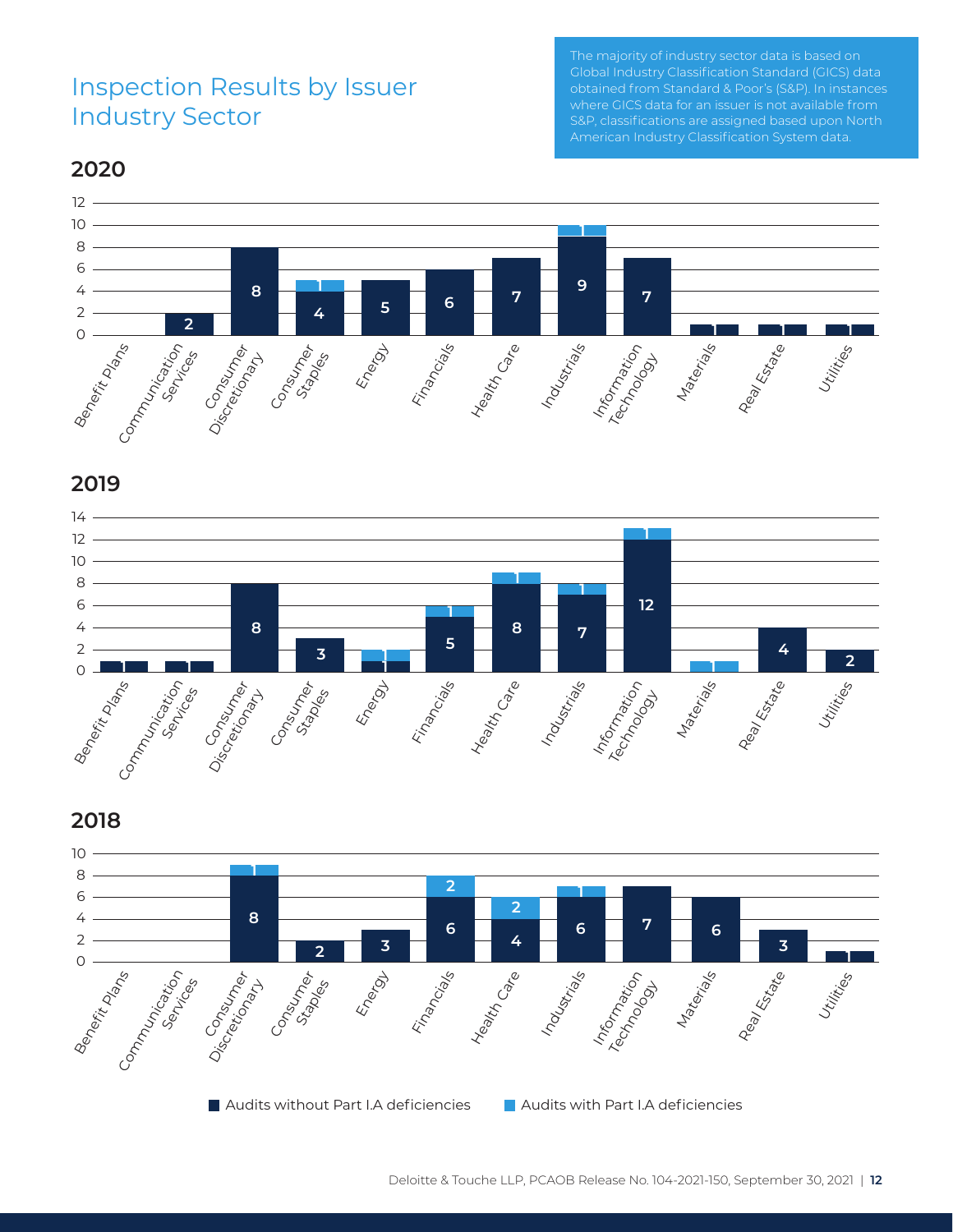#### Inspection Results by Issuer Industry Sector

40 0 10 20 30 50 60 Global Industry Classification Standard (GICS) data The majority of industry sector data is based on where GICS data for an issuer is not available from S&P, classifications are assigned based upon North American Industry Classification System data.

#### **2020**



**2019**





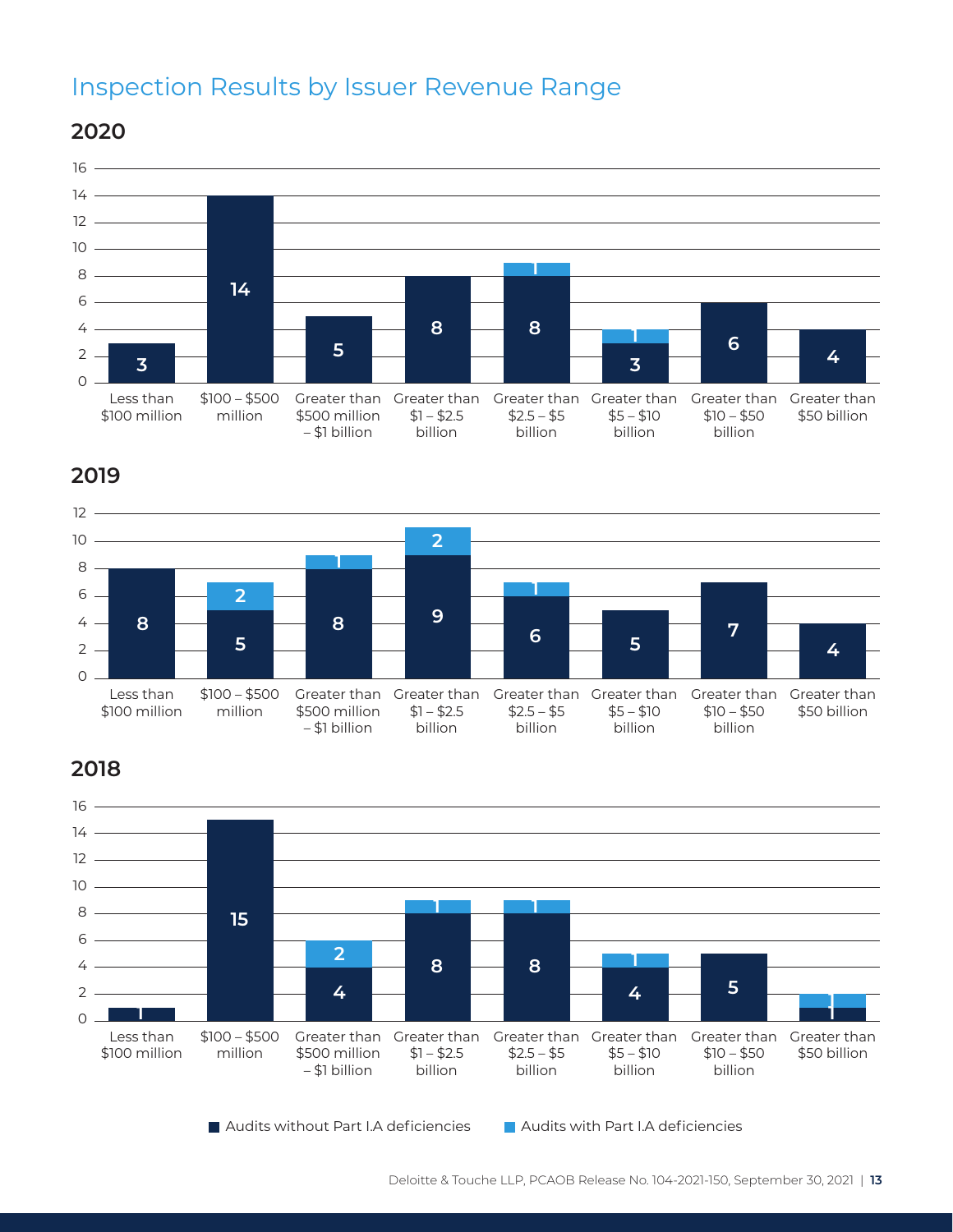#### Inspection Results by Issuer Revenue Range

– \$1 billion

Less than \$100 million \$100 – \$500 million Greater than \$500 million Greater than  $$1 - $2.5$ Greater than Greater than Greater than  $$2.5 - $5$  $$5 - $10$  $$10 - $50$  $\Omega$ .  $2 -$ 4  $6 10 -$ 8  $14 -$ 12 **2020**  $16 -$ **3 14 4 5 8 8 1 3 <sup>1</sup> <sup>6</sup>**

billion

**2019**



billion

billion

billion

Greater than \$50 billion

**2018**



Audits without Part I.A deficiencies Audits with Part I.A deficiencies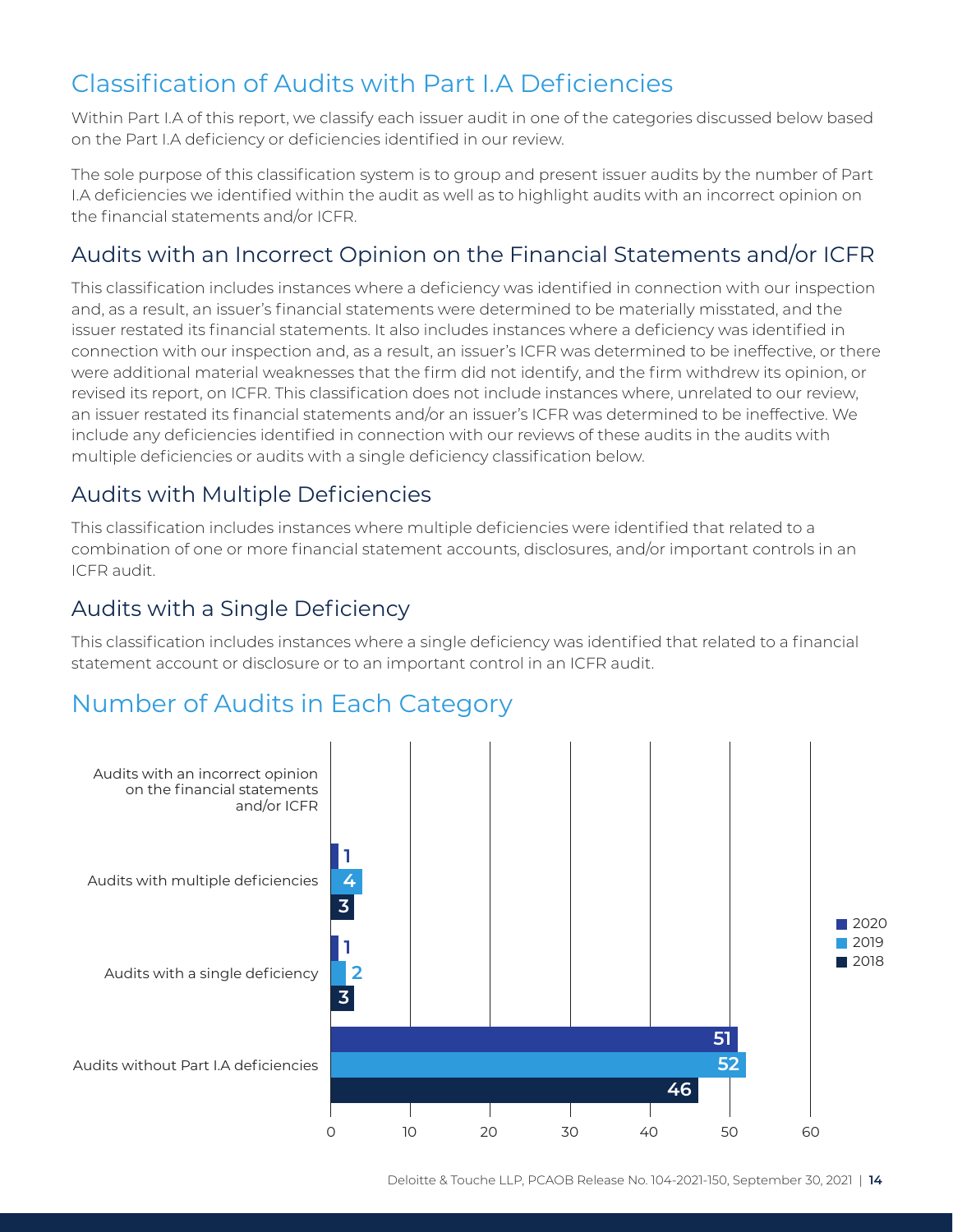### Classification of Audits with Part I.A Deficiencies

Within Part I.A of this report, we classify each issuer audit in one of the categories discussed below based on the Part I.A deficiency or deficiencies identified in our review.

The sole purpose of this classification system is to group and present issuer audits by the number of Part I.A deficiencies we identified within the audit as well as to highlight audits with an incorrect opinion on the financial statements and/or ICFR.

#### Audits with an Incorrect Opinion on the Financial Statements and/or ICFR

This classification includes instances where a deficiency was identified in connection with our inspection and, as a result, an issuer's financial statements were determined to be materially misstated, and the issuer restated its financial statements. It also includes instances where a deficiency was identified in connection with our inspection and, as a result, an issuer's ICFR was determined to be ineffective, or there were additional material weaknesses that the firm did not identify, and the firm withdrew its opinion, or revised its report, on ICFR. This classification does not include instances where, unrelated to our review, an issuer restated its financial statements and/or an issuer's ICFR was determined to be ineffective. We include any deficiencies identified in connection with our reviews of these audits in the audits with multiple deficiencies or audits with a single deficiency classification below.

#### Audits with Multiple Deficiencies

This classification includes instances where multiple deficiencies were identified that related to a combination of one or more financial statement accounts, disclosures, and/or important controls in an ICFR audit.

#### Audits with a Single Deficiency

This classification includes instances where a single deficiency was identified that related to a financial statement account or disclosure or to an important control in an ICFR audit.

#### Number of Audits in Each Category

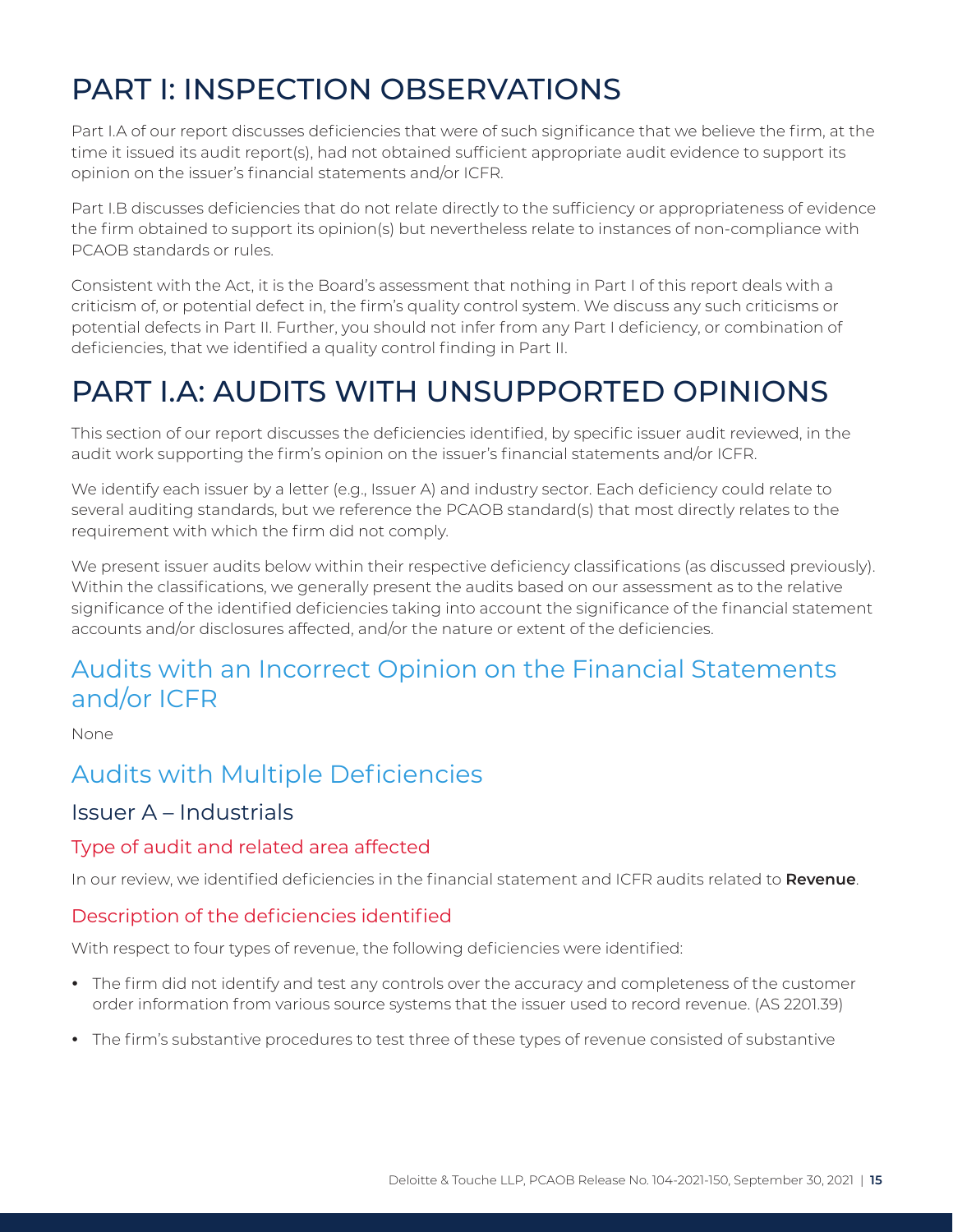## <span id="page-15-0"></span>PART I: INSPECTION OBSERVATIONS

Part I.A of our report discusses deficiencies that were of such significance that we believe the firm, at the time it issued its audit report(s), had not obtained sufficient appropriate audit evidence to support its opinion on the issuer's financial statements and/or ICFR.

Part I.B discusses deficiencies that do not relate directly to the sufficiency or appropriateness of evidence the firm obtained to support its opinion(s) but nevertheless relate to instances of non-compliance with PCAOB standards or rules.

Consistent with the Act, it is the Board's assessment that nothing in Part I of this report deals with a criticism of, or potential defect in, the firm's quality control system. We discuss any such criticisms or potential defects in Part II. Further, you should not infer from any Part I deficiency, or combination of deficiencies, that we identified a quality control finding in Part II.

## PART I.A: AUDITS WITH UNSUPPORTED OPINIONS

This section of our report discusses the deficiencies identified, by specific issuer audit reviewed, in the audit work supporting the firm's opinion on the issuer's financial statements and/or ICFR.

We identify each issuer by a letter (e.g., Issuer A) and industry sector. Each deficiency could relate to several auditing standards, but we reference the PCAOB standard(s) that most directly relates to the requirement with which the firm did not comply.

We present issuer audits below within their respective deficiency classifications (as discussed previously). Within the classifications, we generally present the audits based on our assessment as to the relative significance of the identified deficiencies taking into account the significance of the financial statement accounts and/or disclosures affected, and/or the nature or extent of the deficiencies.

#### Audits with an Incorrect Opinion on the Financial Statements and/or ICFR

None

#### Audits with Multiple Deficiencies

#### Issuer A – Industrials

#### Type of audit and related area affected

In our review, we identified deficiencies in the financial statement and ICFR audits related to **Revenue**.

#### Description of the deficiencies identified

With respect to four types of revenue, the following deficiencies were identified:

- The firm did not identify and test any controls over the accuracy and completeness of the customer order information from various source systems that the issuer used to record revenue. (AS 2201.39)
- The firm's substantive procedures to test three of these types of revenue consisted of substantive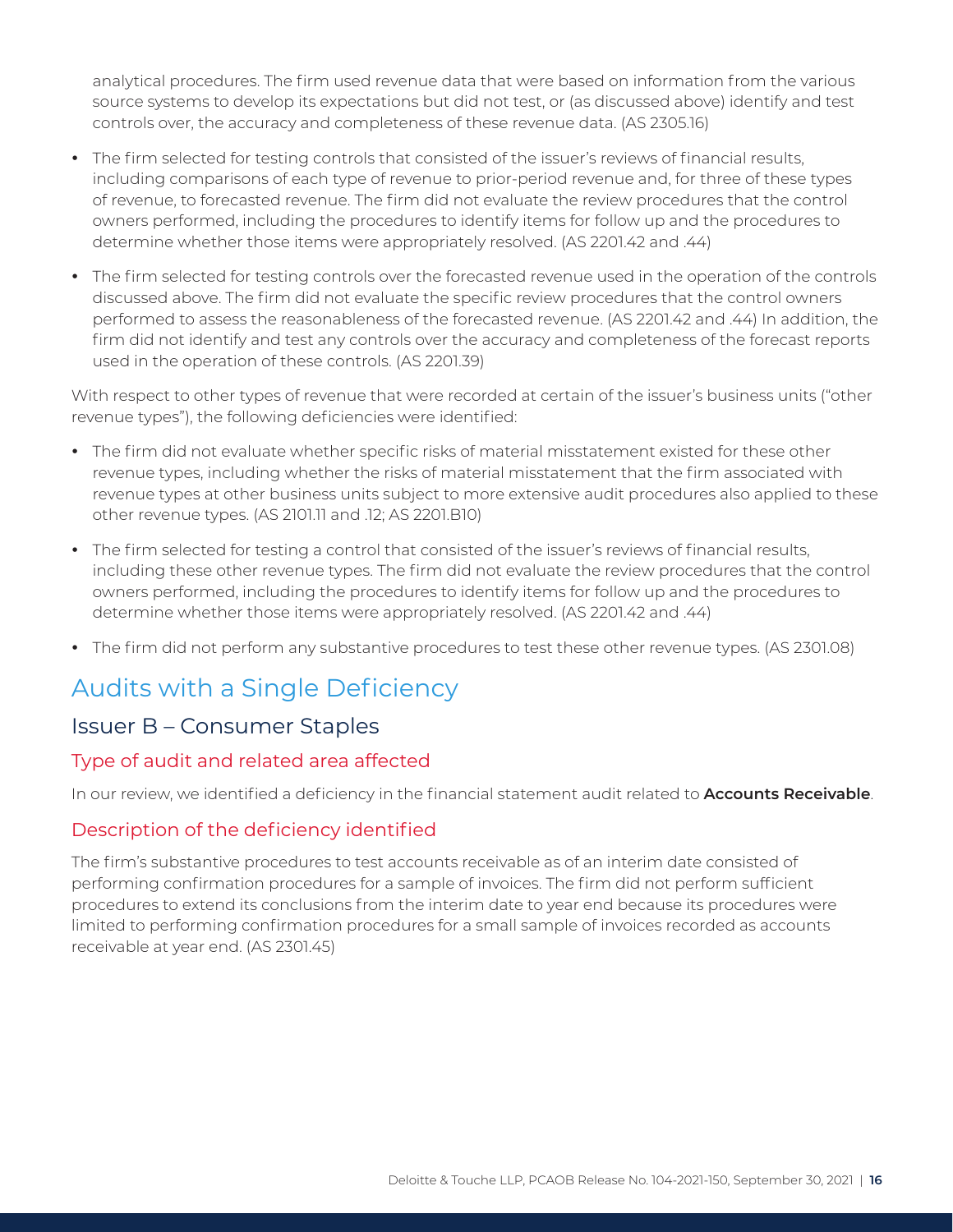analytical procedures. The firm used revenue data that were based on information from the various source systems to develop its expectations but did not test, or (as discussed above) identify and test controls over, the accuracy and completeness of these revenue data. (AS 2305.16)

- The firm selected for testing controls that consisted of the issuer's reviews of financial results, including comparisons of each type of revenue to prior-period revenue and, for three of these types of revenue, to forecasted revenue. The firm did not evaluate the review procedures that the control owners performed, including the procedures to identify items for follow up and the procedures to determine whether those items were appropriately resolved. (AS 2201.42 and .44)
- The firm selected for testing controls over the forecasted revenue used in the operation of the controls discussed above. The firm did not evaluate the specific review procedures that the control owners performed to assess the reasonableness of the forecasted revenue. (AS 2201.42 and .44) In addition, the firm did not identify and test any controls over the accuracy and completeness of the forecast reports used in the operation of these controls. (AS 2201.39)

With respect to other types of revenue that were recorded at certain of the issuer's business units ("other revenue types"), the following deficiencies were identified:

- The firm did not evaluate whether specific risks of material misstatement existed for these other revenue types, including whether the risks of material misstatement that the firm associated with revenue types at other business units subject to more extensive audit procedures also applied to these other revenue types. (AS 2101.11 and .12; AS 2201.B10)
- The firm selected for testing a control that consisted of the issuer's reviews of financial results, including these other revenue types. The firm did not evaluate the review procedures that the control owners performed, including the procedures to identify items for follow up and the procedures to determine whether those items were appropriately resolved. (AS 2201.42 and .44)
- The firm did not perform any substantive procedures to test these other revenue types. (AS 2301.08)

#### Audits with a Single Deficiency

#### Issuer B – Consumer Staples

#### Type of audit and related area affected

In our review, we identified a deficiency in the financial statement audit related to **Accounts Receivable**.

#### Description of the deficiency identified

The firm's substantive procedures to test accounts receivable as of an interim date consisted of performing confirmation procedures for a sample of invoices. The firm did not perform sufficient procedures to extend its conclusions from the interim date to year end because its procedures were limited to performing confirmation procedures for a small sample of invoices recorded as accounts receivable at year end. (AS 2301.45)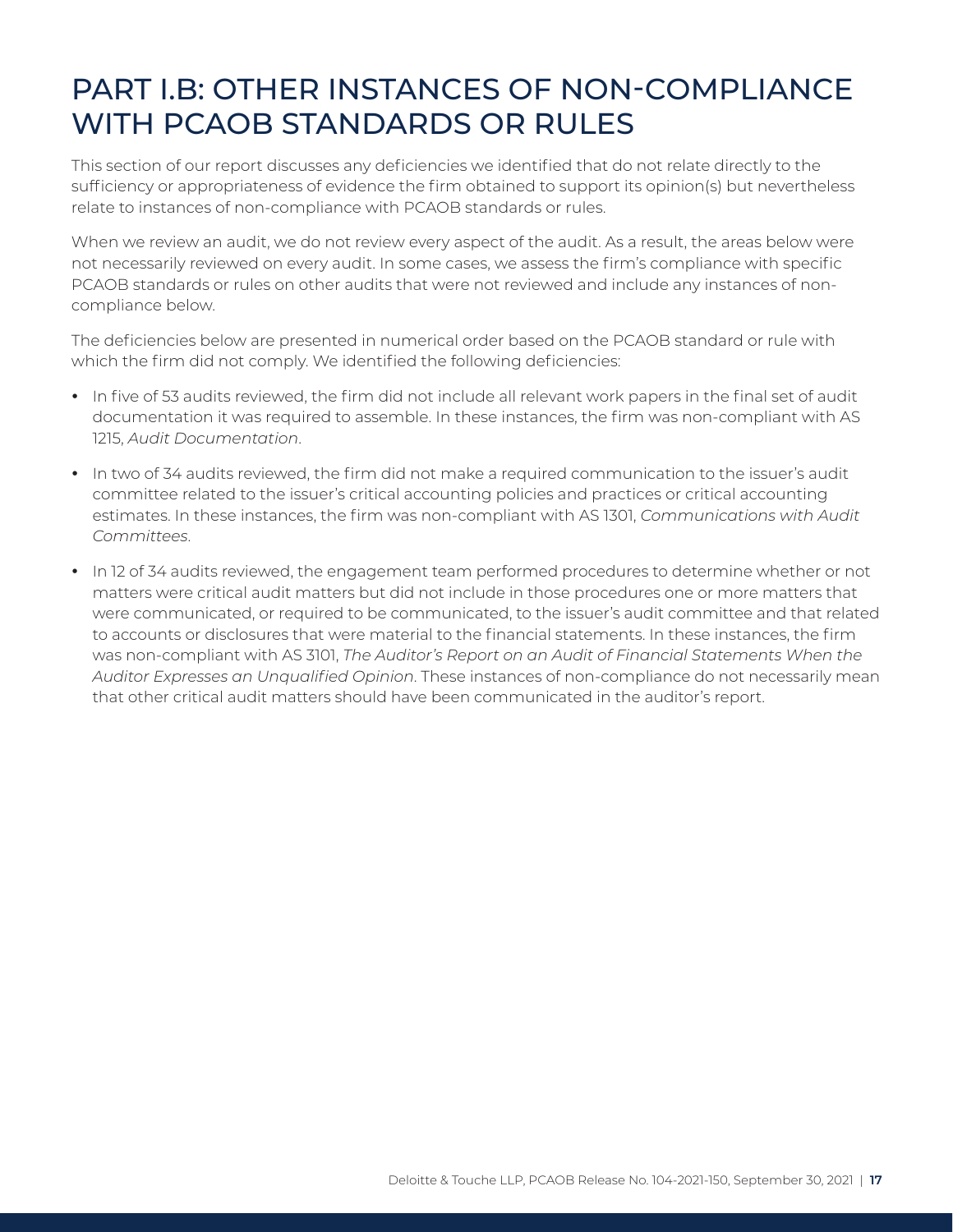## <span id="page-17-0"></span>PART I.B: OTHER INSTANCES OF NON-COMPLIANCE WITH PCAOB STANDARDS OR RULES

This section of our report discusses any deficiencies we identified that do not relate directly to the sufficiency or appropriateness of evidence the firm obtained to support its opinion(s) but nevertheless relate to instances of non-compliance with PCAOB standards or rules.

When we review an audit, we do not review every aspect of the audit. As a result, the areas below were not necessarily reviewed on every audit. In some cases, we assess the firm's compliance with specific PCAOB standards or rules on other audits that were not reviewed and include any instances of noncompliance below.

The deficiencies below are presented in numerical order based on the PCAOB standard or rule with which the firm did not comply. We identified the following deficiencies:

- In five of 53 audits reviewed, the firm did not include all relevant work papers in the final set of audit documentation it was required to assemble. In these instances, the firm was non-compliant with AS 1215, *Audit Documentation*.
- In two of 34 audits reviewed, the firm did not make a required communication to the issuer's audit committee related to the issuer's critical accounting policies and practices or critical accounting estimates. In these instances, the firm was non-compliant with AS 1301, *Communications with Audit Committees*.
- In 12 of 34 audits reviewed, the engagement team performed procedures to determine whether or not matters were critical audit matters but did not include in those procedures one or more matters that were communicated, or required to be communicated, to the issuer's audit committee and that related to accounts or disclosures that were material to the financial statements. In these instances, the firm was non-compliant with AS 3101, *The Auditor's Report on an Audit of Financial Statements When the Auditor Expresses an Unqualified Opinion*. These instances of non-compliance do not necessarily mean that other critical audit matters should have been communicated in the auditor's report.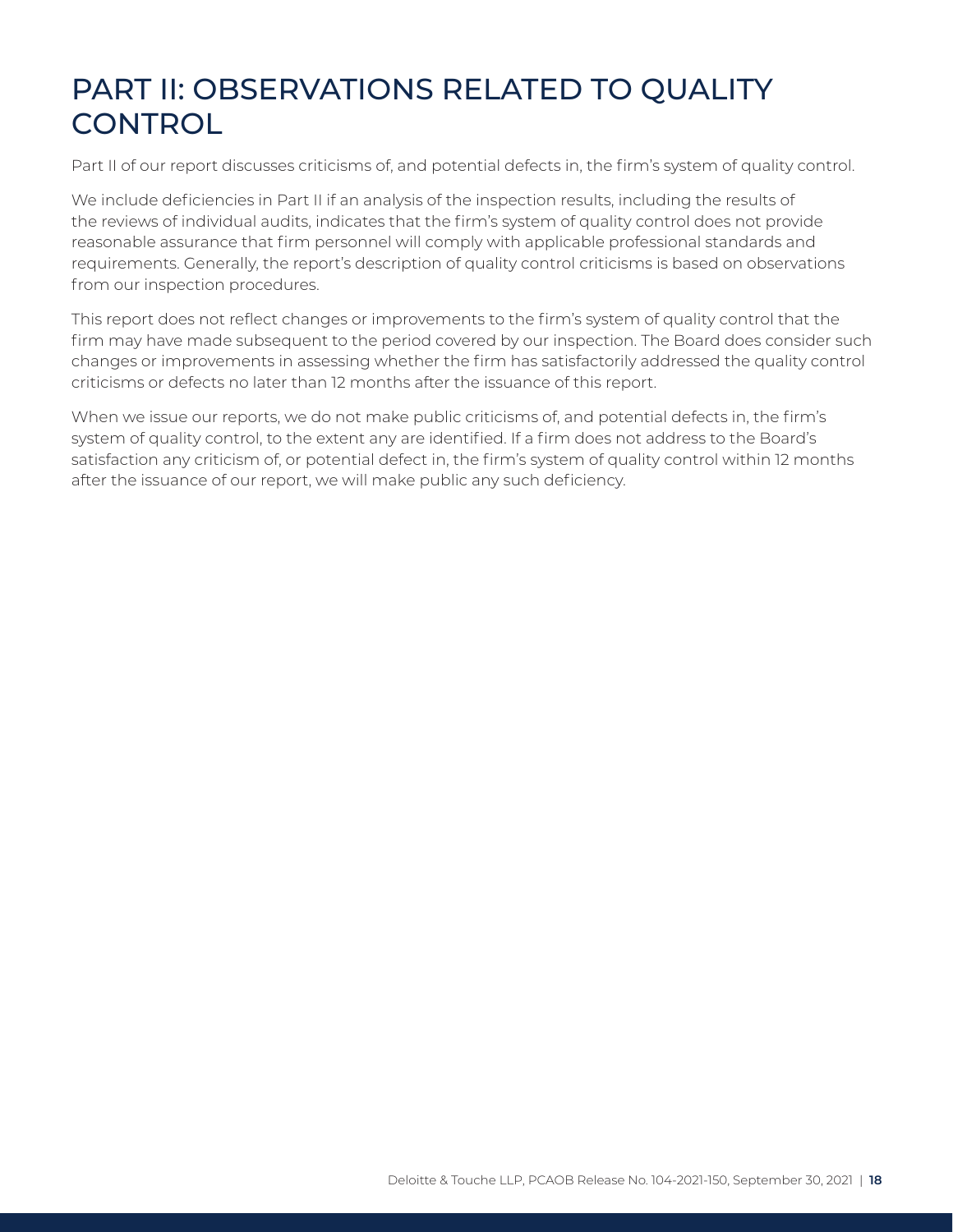## <span id="page-18-0"></span>PART II: OBSERVATIONS RELATED TO QUALITY **CONTROL**

Part II of our report discusses criticisms of, and potential defects in, the firm's system of quality control.

We include deficiencies in Part II if an analysis of the inspection results, including the results of the reviews of individual audits, indicates that the firm's system of quality control does not provide reasonable assurance that firm personnel will comply with applicable professional standards and requirements. Generally, the report's description of quality control criticisms is based on observations from our inspection procedures.

This report does not reflect changes or improvements to the firm's system of quality control that the firm may have made subsequent to the period covered by our inspection. The Board does consider such changes or improvements in assessing whether the firm has satisfactorily addressed the quality control criticisms or defects no later than 12 months after the issuance of this report.

When we issue our reports, we do not make public criticisms of, and potential defects in, the firm's system of quality control, to the extent any are identified. If a firm does not address to the Board's satisfaction any criticism of, or potential defect in, the firm's system of quality control within 12 months after the issuance of our report, we will make public any such deficiency.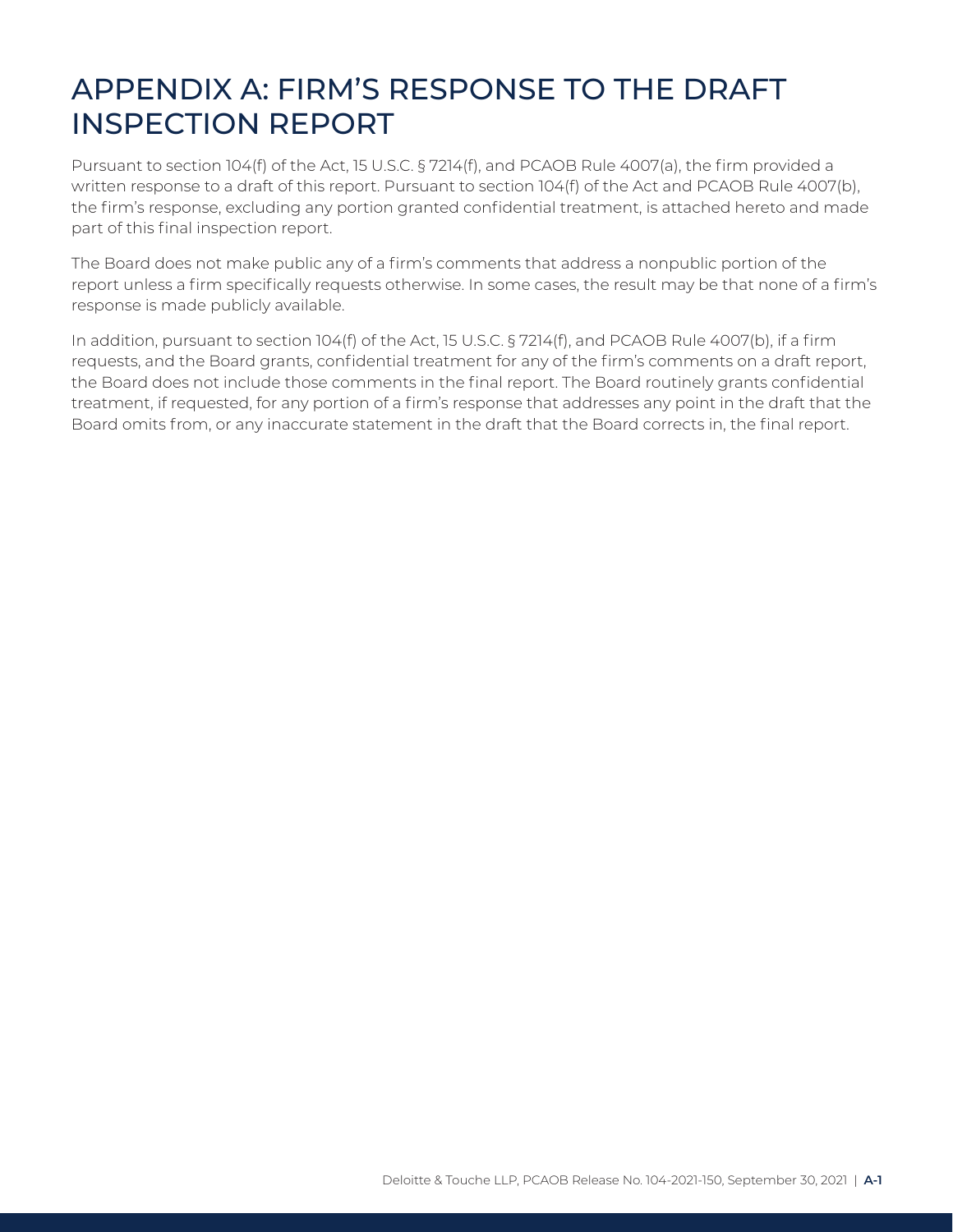## <span id="page-19-0"></span>APPENDIX A: FIRM'S RESPONSE TO THE DRAFT INSPECTION REPORT

Pursuant to section 104(f) of the Act, 15 U.S.C. § 7214(f), and PCAOB Rule 4007(a), the firm provided a written response to a draft of this report. Pursuant to section 104(f) of the Act and PCAOB Rule 4007(b), the firm's response, excluding any portion granted confidential treatment, is attached hereto and made part of this final inspection report.

The Board does not make public any of a firm's comments that address a nonpublic portion of the report unless a firm specifically requests otherwise. In some cases, the result may be that none of a firm's response is made publicly available.

In addition, pursuant to section 104(f) of the Act, 15 U.S.C. § 7214(f), and PCAOB Rule 4007(b), if a firm requests, and the Board grants, confidential treatment for any of the firm's comments on a draft report, the Board does not include those comments in the final report. The Board routinely grants confidential treatment, if requested, for any portion of a firm's response that addresses any point in the draft that the Board omits from, or any inaccurate statement in the draft that the Board corrects in, the final report.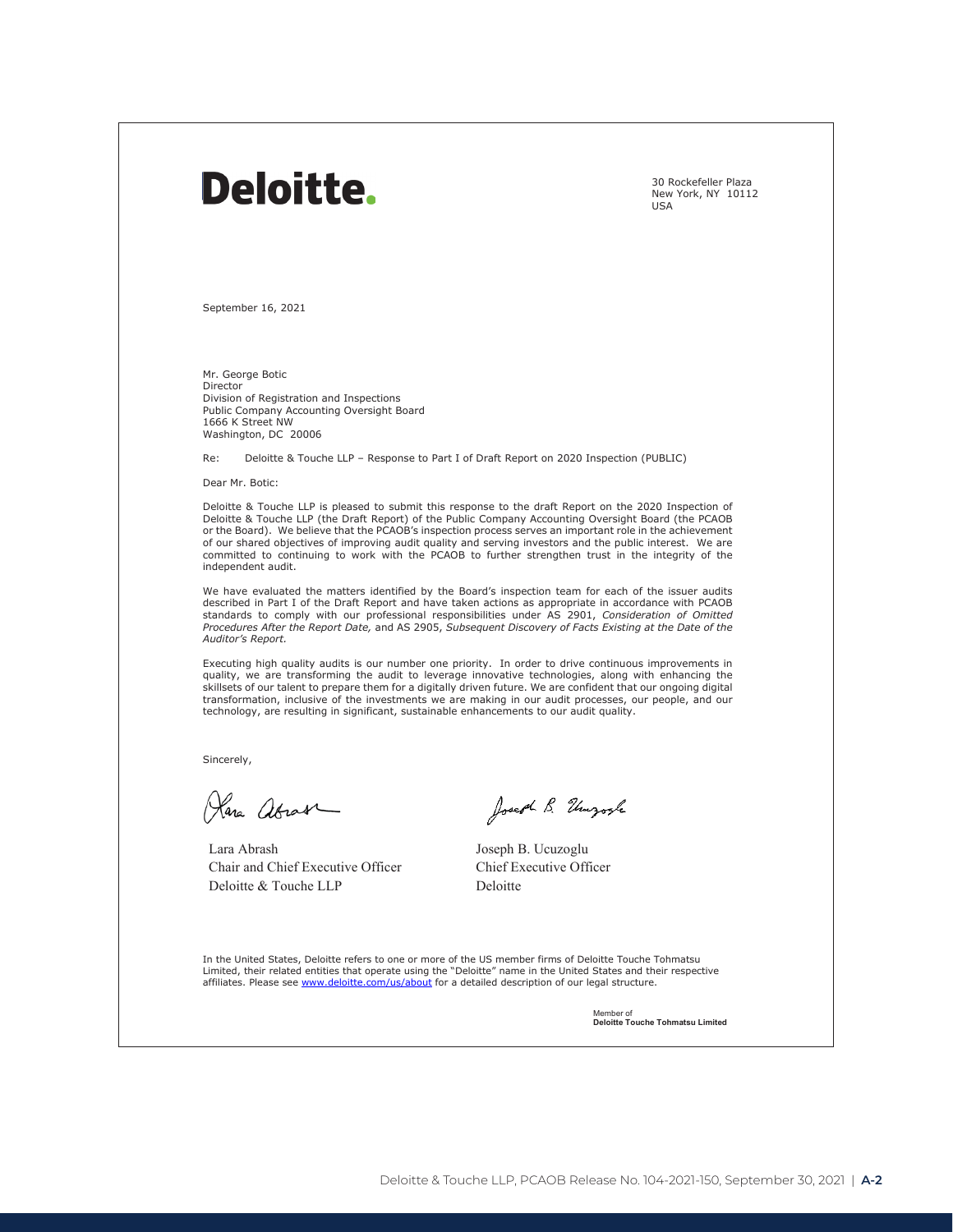## Deloitte.

30 Rockefeller Plaza New York, NY 10112 USA

September 16, 2021

Mr. George Botic Director Division of Registration and Inspections Public Company Accounting Oversight Board 1666 K Street NW Washington, DC 20006

Re: Deloitte & Touche LLP – Response to Part I of Draft Report on 2020 Inspection (PUBLIC)

Dear Mr. Botic:

Deloitte & Touche LLP is pleased to submit this response to the draft Report on the 2020 Inspection of Deloitte & Touche LLP (the Draft Report) of the Public Company Accounting Oversight Board (the PCAOB or the Board). We believe that the PCAOB's inspection process serves an important role in the achievement of our shared objectives of improving audit quality and serving investors and the public interest. We are committed to continuing to work with the PCAOB to further strengthen trust in the integrity of the independent audit.

We have evaluated the matters identified by the Board's inspection team for each of the issuer audits described in Part I of the Draft Report and have taken actions as appropriate in accordance with PCAOB standards to comply with our professional responsibilities under AS 2901, *Consideration of Omitted Procedures After the Report Date,* and AS 2905, *Subsequent Discovery of Facts Existing at the Date of the Auditor's Report.*

Executing high quality audits is our number one priority. In order to drive continuous improvements in quality, we are transforming the audit to leverage innovative technologies, along with enhancing the skillsets of our talent to prepare them for a digitally driven future. We are confident that our ongoing digital transformation, inclusive of the investments we are making in our audit processes, our people, and our technology, are resulting in significant, sustainable enhancements to our audit quality.

Sincerely,

Plana abrase

Lara Abrash Chair and Chief Executive Officer Deloitte & Touche LLP

Joseph B. Ungosh

Joseph B. Ucuzoglu Chief Executive Officer Deloitte

In the United States, Deloitte refers to one or more of the US member firms of Deloitte Touche Tohmatsu Limited, their related entities that operate using the "Deloitte" name in the United States and their respective<br>affiliates. Please see <u>www.deloitte.com/us/about</u> for a detailed description of our legal structure.

> Member of **Deloitte Touche Tohmatsu Limited**